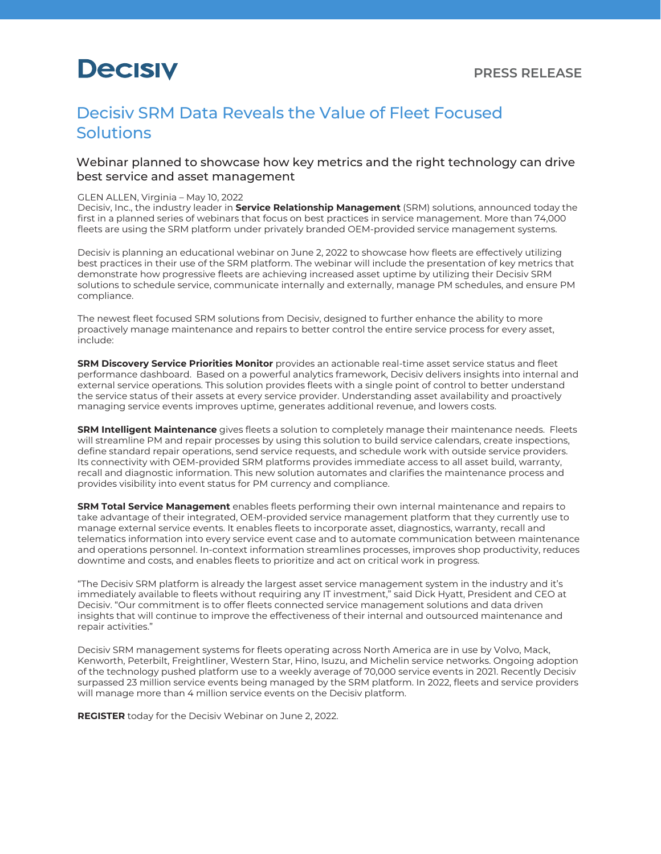# **Decisiv**

### Decisiv SRM Data Reveals the Value of Fleet Focused **Solutions**

#### Webinar planned to showcase how key metrics and the right technology can drive best service and asset management

#### GLEN ALLEN, Virginia – May 10, 2022

Decisiv, Inc., the industry leader in **[Service Relationship Management](https://www.decisiv.com/)** (SRM) solutions, announced today the first in a planned series of webinars that focus on best practices in service management. More than 74,000 fleets are using the SRM platform under privately branded OEM-provided service management systems.

Decisiv is planning an educational webinar on June 2, 2022 to showcase how fleets are effectively utilizing best practices in their use of the SRM platform. The webinar will include the presentation of key metrics that demonstrate how progressive fleets are achieving increased asset uptime by utilizing their Decisiv SRM solutions to schedule service, communicate internally and externally, manage PM schedules, and ensure PM compliance.

The newest fleet focused SRM solutions from Decisiv, designed to further enhance the ability to more proactively manage maintenance and repairs to better control the entire service process for every asset, include:

**[SRM Discovery Service Priorities Monitor](https://decisivmarketplace.com/solutions_center/introducing-srm-discovery-service-priorities-monitor/)** provides an actionable real-time asset service status and fleet performance dashboard. Based on a powerful analytics framework, Decisiv delivers insights into internal and external service operations. This solution provides fleets with a single point of control to better understand the service status of their assets at every service provider. Understanding asset availability and proactively managing service events improves uptime, generates additional revenue, and lowers costs.

**[SRM Intelligent Maintenance](https://decisivmarketplace.com/solutions_center/introducing-srm-intelligent-maintenance/)** gives fleets a solution to completely manage their maintenance needs. Fleets will streamline PM and repair processes by using this solution to build service calendars, create inspections, define standard repair operations, send service requests, and schedule work with outside service providers. Its connectivity with OEM-provided SRM platforms provides immediate access to all asset build, warranty, recall and diagnostic information. This new solution automates and clarifies the maintenance process and provides visibility into event status for PM currency and compliance.

**[SRM Total Service Management](https://decisivmarketplace.com/solutions_center/introducing-srm-total-service-management/)** enables fleets performing their own internal maintenance and repairs to take advantage of their integrated, OEM-provided service management platform that they currently use to manage external service events. It enables fleets to incorporate asset, diagnostics, warranty, recall and telematics information into every service event case and to automate communication between maintenance and operations personnel. In-context information streamlines processes, improves shop productivity, reduces downtime and costs, and enables fleets to prioritize and act on critical work in progress.

"The Decisiv SRM platform is already the largest asset service management system in the industry and it's immediately available to fleets without requiring any IT investment," said Dick Hyatt, President and CEO at Decisiv. "Our commitment is to offer fleets connected service management solutions and data driven insights that will continue to improve the effectiveness of their internal and outsourced maintenance and repair activities."

Decisiv SRM management systems for fleets operating across North America are in use by Volvo, Mack, Kenworth, Peterbilt, Freightliner, Western Star, Hino, Isuzu, and Michelin service networks. Ongoing adoption of the technology pushed platform use to a weekly average of 70,000 service events in 2021. Recently Decisiv surpassed 23 million service events being managed by the SRM platform. In 2022, fleets and service providers will manage more than 4 million service events on the Decisiv platform.

**[REGISTER](https://decisiv.canddi.download/c47878374e4e449c89354ff21aabd8ea?ce=%EMAIL%&cfn=%FIRSTNAME%&cln=%LASTNAME%&cc=%ORGANIZATION%&utm_campaign=DECISIV_SRM_WEBINAR&utm_medium=email&utm_source=marketing)** today for the Decisiv Webinar on June 2, 2022.